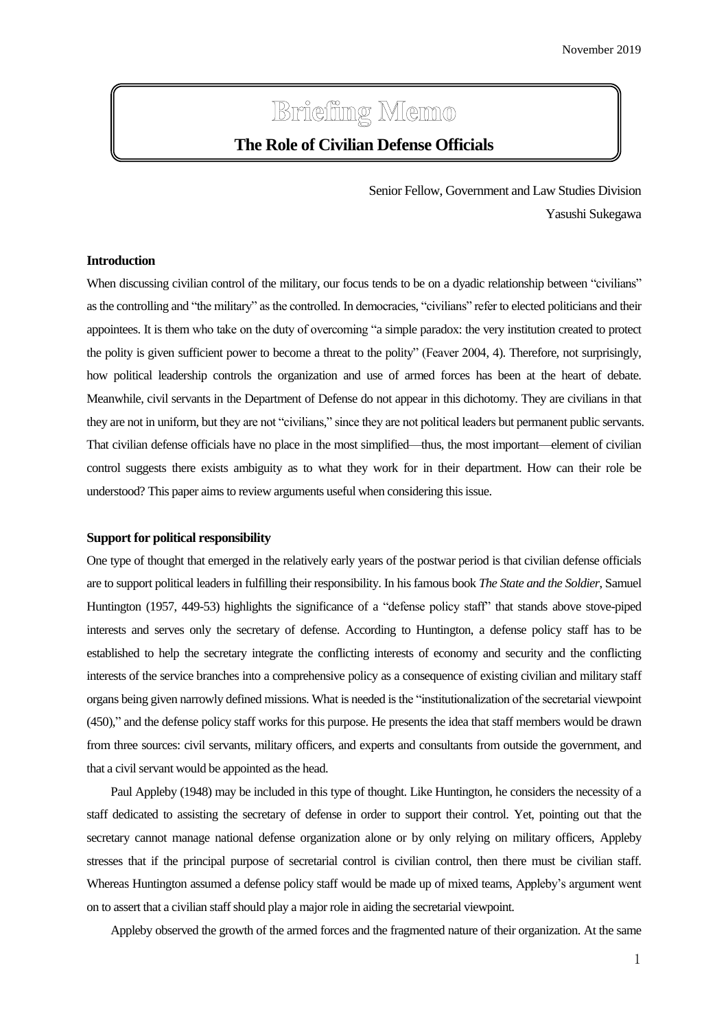# **Briefing Memo**

## **The Role of Civilian Defense Officials**

Senior Fellow, Government and Law Studies Division Yasushi Sukegawa

### **Introduction**

When discussing civilian control of the military, our focus tends to be on a dyadic relationship between "civilians" asthe controlling and "the military" as the controlled. In democracies, "civilians" refer to elected politicians and their appointees. It is them who take on the duty of overcoming "a simple paradox: the very institution created to protect the polity is given sufficient power to become a threat to the polity" (Feaver 2004, 4). Therefore, not surprisingly, how political leadership controls the organization and use of armed forces has been at the heart of debate. Meanwhile, civil servants in the Department of Defense do not appear in this dichotomy. They are civilians in that they are not in uniform, but they are not "civilians," since they are not political leaders but permanent public servants. That civilian defense officials have no place in the most simplified—thus, the most important—element of civilian control suggests there exists ambiguity as to what they work for in their department. How can their role be understood? This paper aims to review arguments useful when considering this issue.

#### **Support for political responsibility**

One type of thought that emerged in the relatively early years of the postwar period is that civilian defense officials are to support political leaders in fulfilling their responsibility. In his famous book *The State and the Soldier*, Samuel Huntington (1957, 449-53) highlights the significance of a "defense policy staff" that stands above stove-piped interests and serves only the secretary of defense. According to Huntington, a defense policy staff has to be established to help the secretary integrate the conflicting interests of economy and security and the conflicting interests of the service branches into a comprehensive policy as a consequence of existing civilian and military staff organs being given narrowly defined missions. What is needed is the "institutionalization of the secretarial viewpoint (450)," and the defense policy staff works for this purpose. He presents the idea that staff members would be drawn from three sources: civil servants, military officers, and experts and consultants from outside the government, and that a civil servant would be appointed as the head.

Paul Appleby (1948) may be included in this type of thought. Like Huntington, he considers the necessity of a staff dedicated to assisting the secretary of defense in order to support their control. Yet, pointing out that the secretary cannot manage national defense organization alone or by only relying on military officers, Appleby stresses that if the principal purpose of secretarial control is civilian control, then there must be civilian staff. Whereas Huntington assumed a defense policy staff would be made up of mixed teams, Appleby's argument went on to assert that a civilian staff should play a major role in aiding the secretarial viewpoint.

Appleby observed the growth of the armed forces and the fragmented nature of their organization. At the same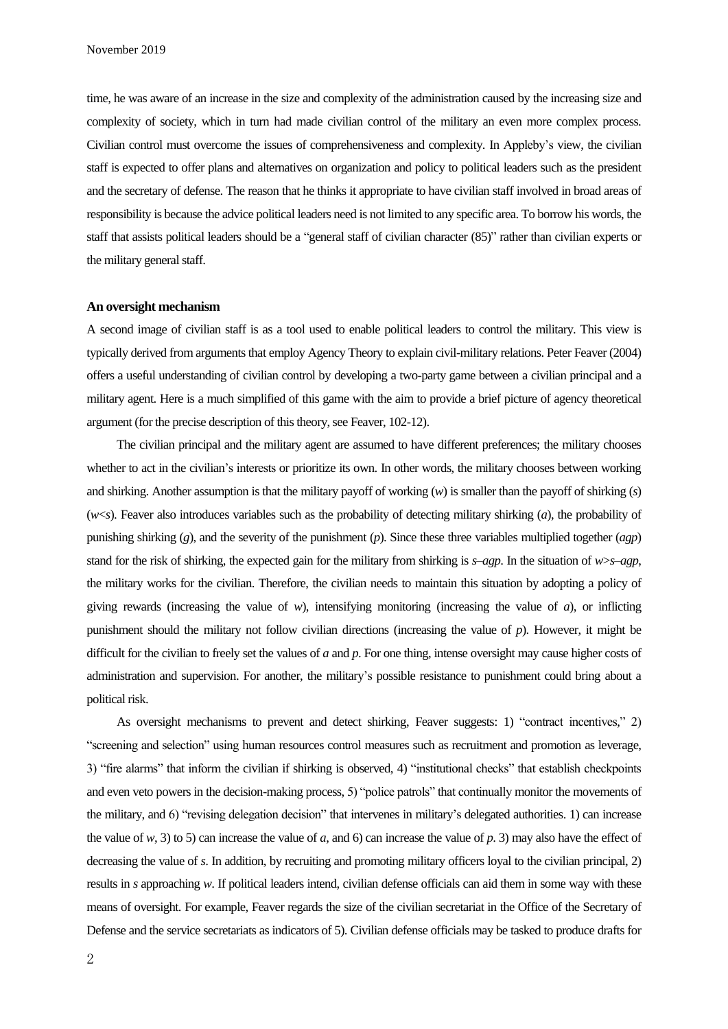time, he was aware of an increase in the size and complexity of the administration caused by the increasing size and complexity of society, which in turn had made civilian control of the military an even more complex process. Civilian control must overcome the issues of comprehensiveness and complexity. In Appleby's view, the civilian staff is expected to offer plans and alternatives on organization and policy to political leaders such as the president and the secretary of defense. The reason that he thinks it appropriate to have civilian staff involved in broad areas of responsibility is because the advice political leaders need is not limited to any specific area. To borrow his words, the staff that assists political leaders should be a "general staff of civilian character (85)" rather than civilian experts or the military general staff.

#### **An oversight mechanism**

A second image of civilian staff is as a tool used to enable political leaders to control the military. This view is typically derived from arguments that employ Agency Theory to explain civil-military relations. Peter Feaver (2004) offers a useful understanding of civilian control by developing a two-party game between a civilian principal and a military agent. Here is a much simplified of this game with the aim to provide a brief picture of agency theoretical argument (for the precise description of this theory, see Feaver, 102-12).

The civilian principal and the military agent are assumed to have different preferences; the military chooses whether to act in the civilian's interests or prioritize its own. In other words, the military chooses between working and shirking. Another assumption is that the military payoff of working (*w*) is smaller than the payoff of shirking (*s*) (*w*<*s*). Feaver also introduces variables such as the probability of detecting military shirking (*a*), the probability of punishing shirking (*g*), and the severity of the punishment (*p*). Since these three variables multiplied together (*agp*) stand for the risk of shirking, the expected gain for the military from shirking is *s*–*agp*. In the situation of *w*>*s*–*agp*, the military works for the civilian. Therefore, the civilian needs to maintain this situation by adopting a policy of giving rewards (increasing the value of  $w$ ), intensifying monitoring (increasing the value of  $a$ ), or inflicting punishment should the military not follow civilian directions (increasing the value of *p*). However, it might be difficult for the civilian to freely set the values of *a* and *p*. For one thing, intense oversight may cause higher costs of administration and supervision. For another, the military's possible resistance to punishment could bring about a political risk.

As oversight mechanisms to prevent and detect shirking, Feaver suggests: 1) "contract incentives," 2) "screening and selection" using human resources control measures such as recruitment and promotion as leverage, 3) "fire alarms" that inform the civilian if shirking is observed, 4) "institutional checks" that establish checkpoints and even veto powers in the decision-making process, 5) "police patrols" that continually monitor the movements of the military, and 6) "revising delegation decision" that intervenes in military's delegated authorities. 1) can increase the value of  $w$ , 3) to 5) can increase the value of  $a$ , and 6) can increase the value of  $p$ . 3) may also have the effect of decreasing the value of *s*. In addition, by recruiting and promoting military officers loyal to the civilian principal, 2) results in *s* approaching *w*. If political leaders intend, civilian defense officials can aid them in some way with these means of oversight. For example, Feaver regards the size of the civilian secretariat in the Office of the Secretary of Defense and the service secretariats as indicators of 5). Civilian defense officials may be tasked to produce drafts for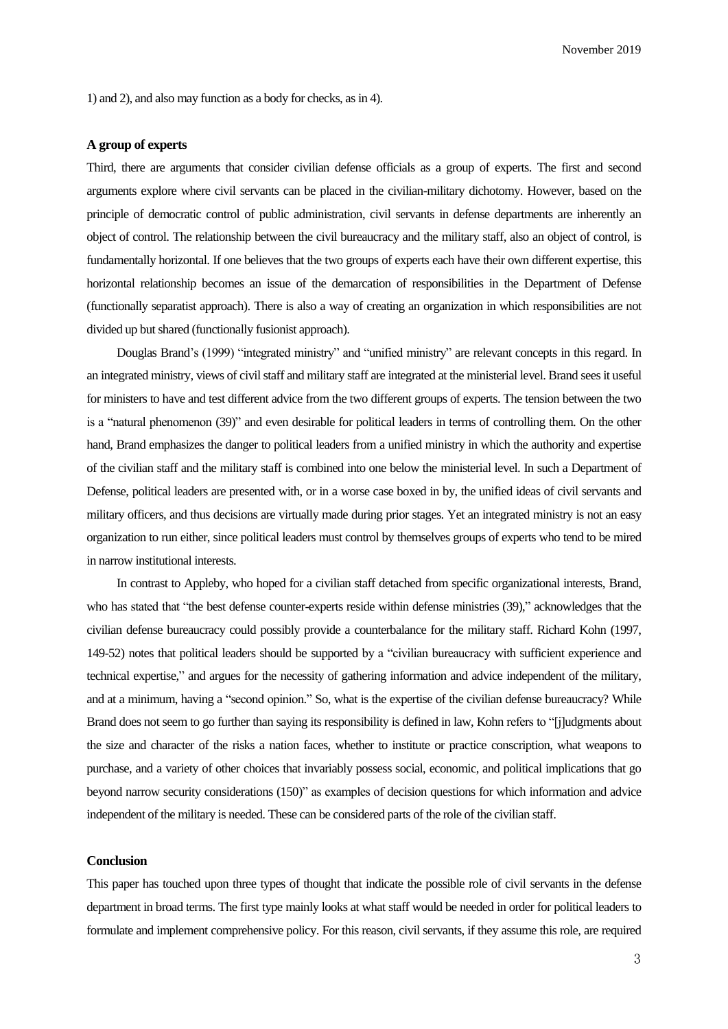November 2019

1) and 2), and also may function as a body for checks, as in 4).

#### **A group of experts**

Third, there are arguments that consider civilian defense officials as a group of experts. The first and second arguments explore where civil servants can be placed in the civilian-military dichotomy. However, based on the principle of democratic control of public administration, civil servants in defense departments are inherently an object of control. The relationship between the civil bureaucracy and the military staff, also an object of control, is fundamentally horizontal. If one believes that the two groups of experts each have their own different expertise, this horizontal relationship becomes an issue of the demarcation of responsibilities in the Department of Defense (functionally separatist approach). There is also a way of creating an organization in which responsibilities are not divided up but shared (functionally fusionist approach).

Douglas Brand's (1999) "integrated ministry" and "unified ministry" are relevant concepts in this regard. In an integrated ministry, views of civil staff and military staff are integrated at the ministerial level. Brand seesit useful for ministers to have and test different advice from the two different groups of experts. The tension between the two is a "natural phenomenon (39)" and even desirable for political leaders in terms of controlling them. On the other hand, Brand emphasizes the danger to political leaders from a unified ministry in which the authority and expertise of the civilian staff and the military staff is combined into one below the ministerial level. In such a Department of Defense, political leaders are presented with, or in a worse case boxed in by, the unified ideas of civil servants and military officers, and thus decisions are virtually made during prior stages. Yet an integrated ministry is not an easy organization to run either, since political leaders must control by themselves groups of experts who tend to be mired in narrow institutional interests.

In contrast to Appleby, who hoped for a civilian staff detached from specific organizational interests, Brand, who has stated that "the best defense counter-experts reside within defense ministries (39)," acknowledges that the civilian defense bureaucracy could possibly provide a counterbalance for the military staff. Richard Kohn (1997, 149-52) notes that political leaders should be supported by a "civilian bureaucracy with sufficient experience and technical expertise," and argues for the necessity of gathering information and advice independent of the military, and at a minimum, having a "second opinion." So, what is the expertise of the civilian defense bureaucracy? While Brand does not seem to go further than saying its responsibility is defined in law, Kohn refers to "[j]udgments about the size and character of the risks a nation faces, whether to institute or practice conscription, what weapons to purchase, and a variety of other choices that invariably possess social, economic, and political implications that go beyond narrow security considerations (150)" as examples of decision questions for which information and advice independent of the military is needed. These can be considered parts of the role of the civilian staff.

#### **Conclusion**

This paper has touched upon three types of thought that indicate the possible role of civil servants in the defense department in broad terms. The first type mainly looks at what staff would be needed in order for political leaders to formulate and implement comprehensive policy. For this reason, civil servants, if they assume this role, are required